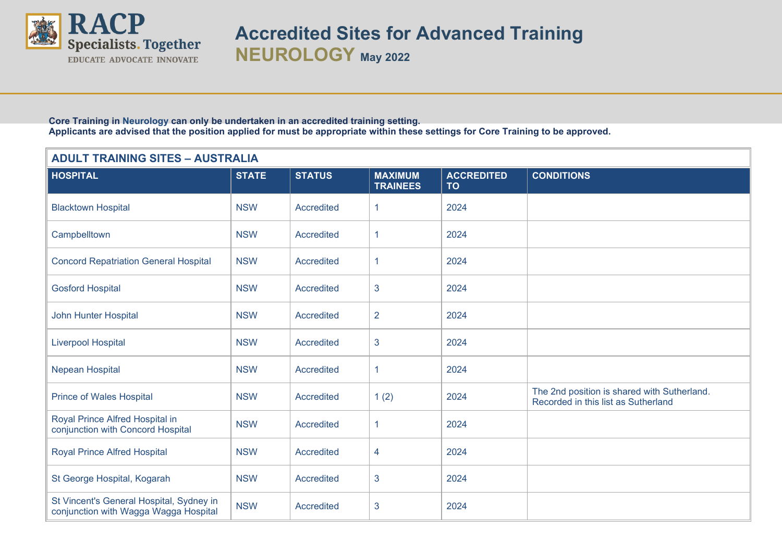

**Accredited Sites for Advanced Training NEUROLOGY May <sup>2022</sup>**

 **Core Training in Neurology can only be undertaken in an accredited training setting. Applicants are advised that the position applied for must be appropriate within these settings for Core Training to be approved.** 

## **ADULT TRAINING SITES – AUSTRALIA**

| <b>HOSPITAL</b>                                                                   | <b>STATE</b> | <b>STATUS</b>     | <b>MAXIMUM</b><br><b>TRAINEES</b> | <b>ACCREDITED</b><br><b>TO</b> | <b>CONDITIONS</b>                                                                  |
|-----------------------------------------------------------------------------------|--------------|-------------------|-----------------------------------|--------------------------------|------------------------------------------------------------------------------------|
| <b>Blacktown Hospital</b>                                                         | <b>NSW</b>   | <b>Accredited</b> | 1                                 | 2024                           |                                                                                    |
| Campbelltown                                                                      | <b>NSW</b>   | <b>Accredited</b> | 1                                 | 2024                           |                                                                                    |
| <b>Concord Repatriation General Hospital</b>                                      | <b>NSW</b>   | <b>Accredited</b> | 1                                 | 2024                           |                                                                                    |
| <b>Gosford Hospital</b>                                                           | <b>NSW</b>   | Accredited        | 3                                 | 2024                           |                                                                                    |
| <b>John Hunter Hospital</b>                                                       | <b>NSW</b>   | <b>Accredited</b> | $\overline{2}$                    | 2024                           |                                                                                    |
| <b>Liverpool Hospital</b>                                                         | <b>NSW</b>   | <b>Accredited</b> | 3                                 | 2024                           |                                                                                    |
| Nepean Hospital                                                                   | <b>NSW</b>   | <b>Accredited</b> | 1                                 | 2024                           |                                                                                    |
| <b>Prince of Wales Hospital</b>                                                   | <b>NSW</b>   | <b>Accredited</b> | 1(2)                              | 2024                           | The 2nd position is shared with Sutherland.<br>Recorded in this list as Sutherland |
| Royal Prince Alfred Hospital in<br>conjunction with Concord Hospital              | <b>NSW</b>   | <b>Accredited</b> | 1                                 | 2024                           |                                                                                    |
| <b>Royal Prince Alfred Hospital</b>                                               | <b>NSW</b>   | <b>Accredited</b> | 4                                 | 2024                           |                                                                                    |
| St George Hospital, Kogarah                                                       | <b>NSW</b>   | Accredited        | 3                                 | 2024                           |                                                                                    |
| St Vincent's General Hospital, Sydney in<br>conjunction with Wagga Wagga Hospital | <b>NSW</b>   | <b>Accredited</b> | 3                                 | 2024                           |                                                                                    |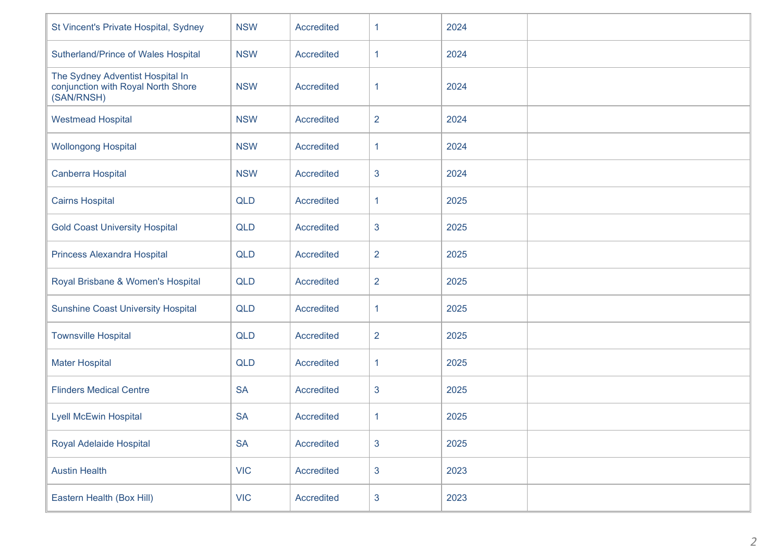| St Vincent's Private Hospital, Sydney                                                | <b>NSW</b> | <b>Accredited</b> | 1              | 2024 |  |
|--------------------------------------------------------------------------------------|------------|-------------------|----------------|------|--|
| Sutherland/Prince of Wales Hospital                                                  | <b>NSW</b> | Accredited        | $\mathbf{1}$   | 2024 |  |
| The Sydney Adventist Hospital In<br>conjunction with Royal North Shore<br>(SAN/RNSH) | <b>NSW</b> | Accredited        | 1.             | 2024 |  |
| <b>Westmead Hospital</b>                                                             | <b>NSW</b> | Accredited        | $\overline{2}$ | 2024 |  |
| <b>Wollongong Hospital</b>                                                           | <b>NSW</b> | Accredited        | 1              | 2024 |  |
| Canberra Hospital                                                                    | <b>NSW</b> | Accredited        | 3              | 2024 |  |
| <b>Cairns Hospital</b>                                                               | <b>QLD</b> | Accredited        | $\mathbf{1}$   | 2025 |  |
| <b>Gold Coast University Hospital</b>                                                | <b>QLD</b> | Accredited        | 3              | 2025 |  |
| Princess Alexandra Hospital                                                          | <b>QLD</b> | Accredited        | $\overline{2}$ | 2025 |  |
| Royal Brisbane & Women's Hospital                                                    | <b>QLD</b> | Accredited        | $\overline{2}$ | 2025 |  |
| <b>Sunshine Coast University Hospital</b>                                            | <b>QLD</b> | Accredited        | 1              | 2025 |  |
| <b>Townsville Hospital</b>                                                           | <b>QLD</b> | Accredited        | $\overline{2}$ | 2025 |  |
| <b>Mater Hospital</b>                                                                | <b>QLD</b> | Accredited        | 1              | 2025 |  |
| <b>Flinders Medical Centre</b>                                                       | <b>SA</b>  | Accredited        | 3              | 2025 |  |
| <b>Lyell McEwin Hospital</b>                                                         | <b>SA</b>  | <b>Accredited</b> | 1              | 2025 |  |
| Royal Adelaide Hospital                                                              | <b>SA</b>  | Accredited        | 3              | 2025 |  |
| <b>Austin Health</b>                                                                 | <b>VIC</b> | Accredited        | $\mathbf{3}$   | 2023 |  |
| Eastern Health (Box Hill)                                                            | <b>VIC</b> | Accredited        | $\mathbf{3}$   | 2023 |  |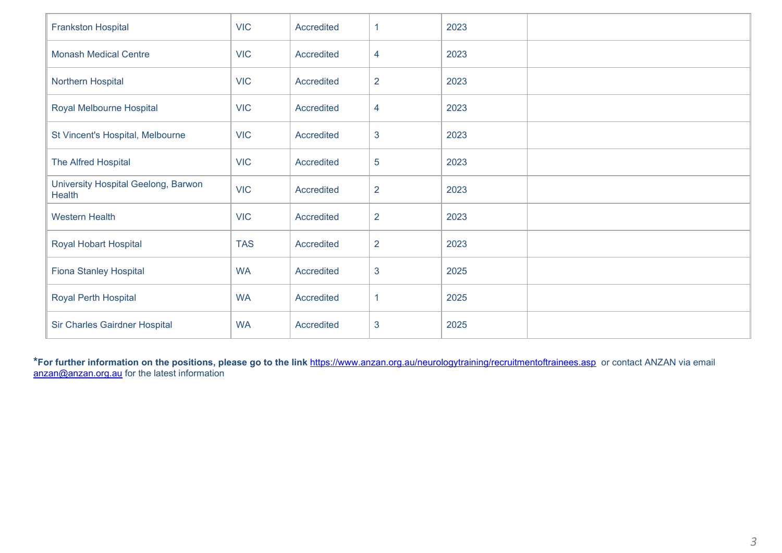| <b>Frankston Hospital</b>                     | <b>VIC</b> | Accredited        |                | 2023 |  |
|-----------------------------------------------|------------|-------------------|----------------|------|--|
| <b>Monash Medical Centre</b>                  | <b>VIC</b> | Accredited        | 4              | 2023 |  |
| Northern Hospital                             | <b>VIC</b> | Accredited        | $\overline{2}$ | 2023 |  |
| Royal Melbourne Hospital                      | <b>VIC</b> | <b>Accredited</b> | 4              | 2023 |  |
| St Vincent's Hospital, Melbourne              | <b>VIC</b> | Accredited        | $\mathbf{3}$   | 2023 |  |
| The Alfred Hospital                           | <b>VIC</b> | <b>Accredited</b> | 5              | 2023 |  |
| University Hospital Geelong, Barwon<br>Health | <b>VIC</b> | Accredited        | $\overline{2}$ | 2023 |  |
| <b>Western Health</b>                         | <b>VIC</b> | Accredited        | $\overline{2}$ | 2023 |  |
| Royal Hobart Hospital                         | <b>TAS</b> | <b>Accredited</b> | $\overline{2}$ | 2023 |  |
| <b>Fiona Stanley Hospital</b>                 | <b>WA</b>  | Accredited        | 3              | 2025 |  |
| Royal Perth Hospital                          | <b>WA</b>  | Accredited        | 1              | 2025 |  |
| <b>Sir Charles Gairdner Hospital</b>          | <b>WA</b>  | <b>Accredited</b> | 3              | 2025 |  |

**\*For further information on the positions, please go to the link** <https://www.anzan.org.au/neurologytraining/recruitmentoftrainees.asp>or contact ANZAN via email [anzan@anzan.org.au](mailto:anzan@anzan.org.au) for the latest information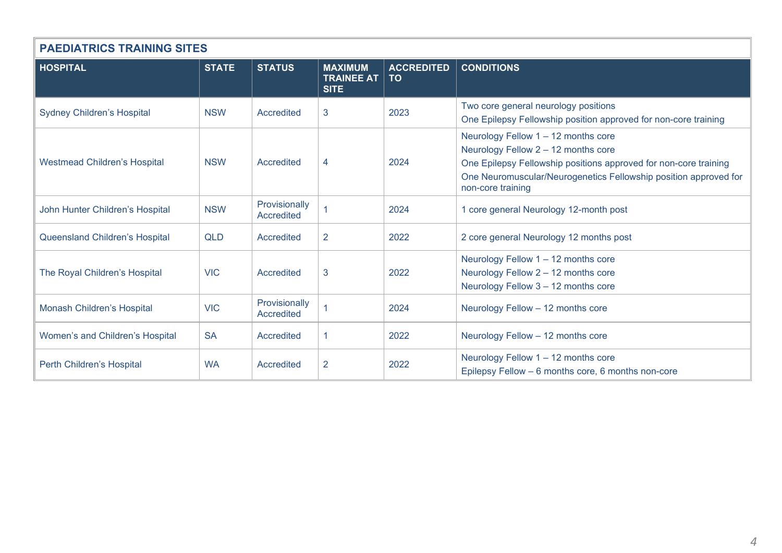| <b>PAEDIATRICS TRAINING SITES</b>     |              |                                    |                                                    |                         |                                                                                                                                                                                                                                         |
|---------------------------------------|--------------|------------------------------------|----------------------------------------------------|-------------------------|-----------------------------------------------------------------------------------------------------------------------------------------------------------------------------------------------------------------------------------------|
| <b>HOSPITAL</b>                       | <b>STATE</b> | <b>STATUS</b>                      | <b>MAXIMUM</b><br><b>TRAINEE AT</b><br><b>SITE</b> | <b>ACCREDITED</b><br>TO | <b>CONDITIONS</b>                                                                                                                                                                                                                       |
| <b>Sydney Children's Hospital</b>     | <b>NSW</b>   | Accredited                         | 3                                                  | 2023                    | Two core general neurology positions<br>One Epilepsy Fellowship position approved for non-core training                                                                                                                                 |
| <b>Westmead Children's Hospital</b>   | <b>NSW</b>   | Accredited                         | 4                                                  | 2024                    | Neurology Fellow 1 - 12 months core<br>Neurology Fellow 2 - 12 months core<br>One Epilepsy Fellowship positions approved for non-core training<br>One Neuromuscular/Neurogenetics Fellowship position approved for<br>non-core training |
| John Hunter Children's Hospital       | <b>NSW</b>   | Provisionally<br>Accredited        |                                                    | 2024                    | 1 core general Neurology 12-month post                                                                                                                                                                                                  |
| <b>Queensland Children's Hospital</b> | <b>QLD</b>   | Accredited                         | $\overline{2}$                                     | 2022                    | 2 core general Neurology 12 months post                                                                                                                                                                                                 |
| The Royal Children's Hospital         | <b>VIC</b>   | Accredited                         | 3                                                  | 2022                    | Neurology Fellow 1 - 12 months core<br>Neurology Fellow 2 - 12 months core<br>Neurology Fellow 3 - 12 months core                                                                                                                       |
| Monash Children's Hospital            | <b>VIC</b>   | Provisionally<br><b>Accredited</b> |                                                    | 2024                    | Neurology Fellow - 12 months core                                                                                                                                                                                                       |
| Women's and Children's Hospital       | <b>SA</b>    | Accredited                         | 1                                                  | 2022                    | Neurology Fellow - 12 months core                                                                                                                                                                                                       |
| Perth Children's Hospital             | <b>WA</b>    | Accredited                         | $\overline{2}$                                     | 2022                    | Neurology Fellow 1 - 12 months core<br>Epilepsy Fellow - 6 months core, 6 months non-core                                                                                                                                               |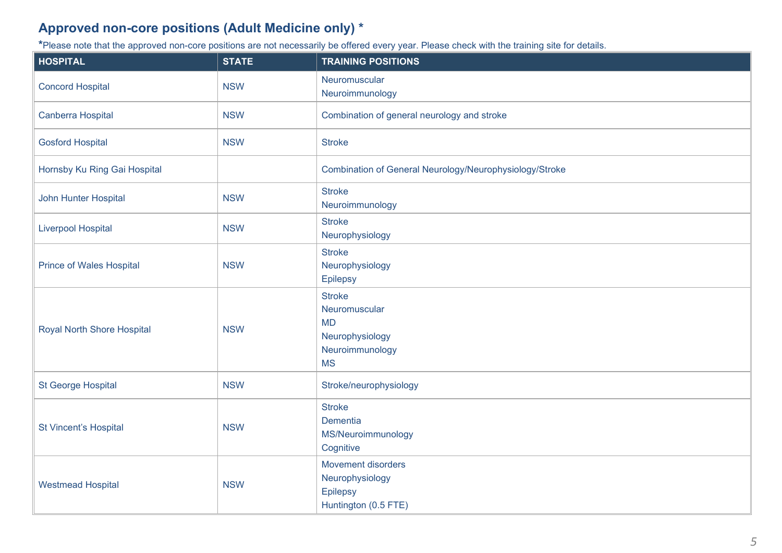## **Approved non-core positions (Adult Medicine only) \***

**\***Please note that the approved non-core positions are not necessarily be offered every year. Please check with the training site for details.

| <b>HOSPITAL</b>                   | <b>STATE</b> | <b>TRAINING POSITIONS</b>                                                                      |
|-----------------------------------|--------------|------------------------------------------------------------------------------------------------|
| <b>Concord Hospital</b>           | <b>NSW</b>   | Neuromuscular<br>Neuroimmunology                                                               |
| <b>Canberra Hospital</b>          | <b>NSW</b>   | Combination of general neurology and stroke                                                    |
| <b>Gosford Hospital</b>           | <b>NSW</b>   | <b>Stroke</b>                                                                                  |
| Hornsby Ku Ring Gai Hospital      |              | Combination of General Neurology/Neurophysiology/Stroke                                        |
| John Hunter Hospital              | <b>NSW</b>   | <b>Stroke</b><br>Neuroimmunology                                                               |
| <b>Liverpool Hospital</b>         | <b>NSW</b>   | <b>Stroke</b><br>Neurophysiology                                                               |
| <b>Prince of Wales Hospital</b>   | <b>NSW</b>   | <b>Stroke</b><br>Neurophysiology<br><b>Epilepsy</b>                                            |
| <b>Royal North Shore Hospital</b> | <b>NSW</b>   | <b>Stroke</b><br>Neuromuscular<br><b>MD</b><br>Neurophysiology<br>Neuroimmunology<br><b>MS</b> |
| <b>St George Hospital</b>         | <b>NSW</b>   | Stroke/neurophysiology                                                                         |
| <b>St Vincent's Hospital</b>      | <b>NSW</b>   | <b>Stroke</b><br>Dementia<br>MS/Neuroimmunology<br>Cognitive                                   |
| <b>Westmead Hospital</b>          | <b>NSW</b>   | Movement disorders<br>Neurophysiology<br><b>Epilepsy</b><br>Huntington (0.5 FTE)               |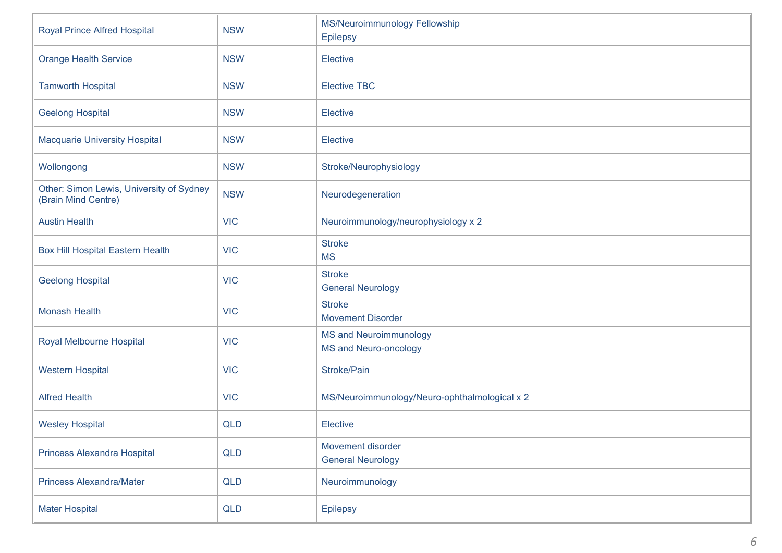| <b>Royal Prince Alfred Hospital</b>                             | <b>NSW</b> | MS/Neuroimmunology Fellowship<br><b>Epilepsy</b>              |
|-----------------------------------------------------------------|------------|---------------------------------------------------------------|
| <b>Orange Health Service</b>                                    | <b>NSW</b> | <b>Elective</b>                                               |
| <b>Tamworth Hospital</b>                                        | <b>NSW</b> | <b>Elective TBC</b>                                           |
| <b>Geelong Hospital</b>                                         | <b>NSW</b> | <b>Elective</b>                                               |
| <b>Macquarie University Hospital</b>                            | <b>NSW</b> | <b>Elective</b>                                               |
| Wollongong                                                      | <b>NSW</b> | Stroke/Neurophysiology                                        |
| Other: Simon Lewis, University of Sydney<br>(Brain Mind Centre) | <b>NSW</b> | Neurodegeneration                                             |
| <b>Austin Health</b>                                            | <b>VIC</b> | Neuroimmunology/neurophysiology x 2                           |
| <b>Box Hill Hospital Eastern Health</b>                         | <b>VIC</b> | <b>Stroke</b><br><b>MS</b>                                    |
| <b>Geelong Hospital</b>                                         | <b>VIC</b> | <b>Stroke</b><br><b>General Neurology</b>                     |
| <b>Monash Health</b>                                            | <b>VIC</b> | <b>Stroke</b><br><b>Movement Disorder</b>                     |
| Royal Melbourne Hospital                                        | <b>VIC</b> | <b>MS and Neuroimmunology</b><br><b>MS and Neuro-oncology</b> |
| <b>Western Hospital</b>                                         | <b>VIC</b> | Stroke/Pain                                                   |
| <b>Alfred Health</b>                                            | <b>VIC</b> | MS/Neuroimmunology/Neuro-ophthalmological x 2                 |
| <b>Wesley Hospital</b>                                          | <b>QLD</b> | <b>Elective</b>                                               |
| <b>Princess Alexandra Hospital</b>                              | QLD        | Movement disorder<br><b>General Neurology</b>                 |
| <b>Princess Alexandra/Mater</b>                                 | QLD        | Neuroimmunology                                               |
| <b>Mater Hospital</b>                                           | QLD        | Epilepsy                                                      |